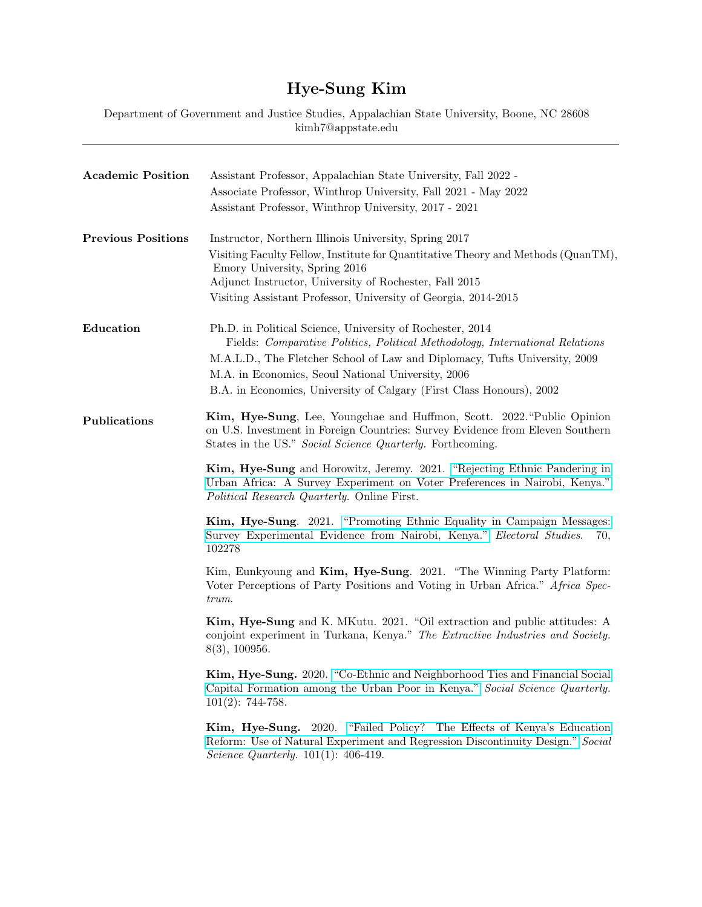## Hye-Sung Kim

Department of Government and Justice Studies, Appalachian State University, Boone, NC 28608 kimh7@appstate.edu

| <b>Academic Position</b>  | Assistant Professor, Appalachian State University, Fall 2022 -<br>Associate Professor, Winthrop University, Fall 2021 - May 2022<br>Assistant Professor, Winthrop University, 2017 - 2021                                                                                                                                                             |
|---------------------------|-------------------------------------------------------------------------------------------------------------------------------------------------------------------------------------------------------------------------------------------------------------------------------------------------------------------------------------------------------|
| <b>Previous Positions</b> | Instructor, Northern Illinois University, Spring 2017<br>Visiting Faculty Fellow, Institute for Quantitative Theory and Methods (QuanTM),<br>Emory University, Spring 2016<br>Adjunct Instructor, University of Rochester, Fall 2015<br>Visiting Assistant Professor, University of Georgia, 2014-2015                                                |
| Education                 | Ph.D. in Political Science, University of Rochester, 2014<br>Fields: Comparative Politics, Political Methodology, International Relations<br>M.A.L.D., The Fletcher School of Law and Diplomacy, Tufts University, 2009<br>M.A. in Economics, Seoul National University, 2006<br>B.A. in Economics, University of Calgary (First Class Honours), 2002 |
| Publications              | Kim, Hye-Sung, Lee, Youngchae and Huffmon, Scott. 2022. "Public Opinion"<br>on U.S. Investment in Foreign Countries: Survey Evidence from Eleven Southern<br>States in the US." Social Science Quarterly. Forthcoming.                                                                                                                                |
|                           | Kim, Hye-Sung and Horowitz, Jeremy. 2021. "Rejecting Ethnic Pandering in<br>Urban Africa: A Survey Experiment on Voter Preferences in Nairobi, Kenya."<br><i>Political Research Quarterly.</i> Online First.                                                                                                                                          |
|                           | Kim, Hye-Sung. 2021. "Promoting Ethnic Equality in Campaign Messages:<br>Survey Experimental Evidence from Nairobi, Kenya." Electoral Studies.<br>70,<br>102278                                                                                                                                                                                       |
|                           | Kim, Eunkyoung and Kim, Hye-Sung. 2021. "The Winning Party Platform:<br>Voter Perceptions of Party Positions and Voting in Urban Africa." Africa Spec-<br>trum.                                                                                                                                                                                       |
|                           | Kim, Hye-Sung and K. MKutu. 2021. "Oil extraction and public attitudes: A<br>conjoint experiment in Turkana, Kenya." The Extractive Industries and Society.<br>8(3), 100956.                                                                                                                                                                          |
|                           | Kim, Hye-Sung. 2020. "Co-Ethnic and Neighborhood Ties and Financial Social<br>Capital Formation among the Urban Poor in Kenya." Social Science Quarterly.<br>$101(2): 744-758.$                                                                                                                                                                       |
|                           | "Failed Policy? The Effects of Kenya's Education"<br><b>Kim, Hye-Sung.</b> 2020.<br>Reform: Use of Natural Experiment and Regression Discontinuity Design." Social<br><i>Science Quarterly.</i> $101(1)$ : 406-419.                                                                                                                                   |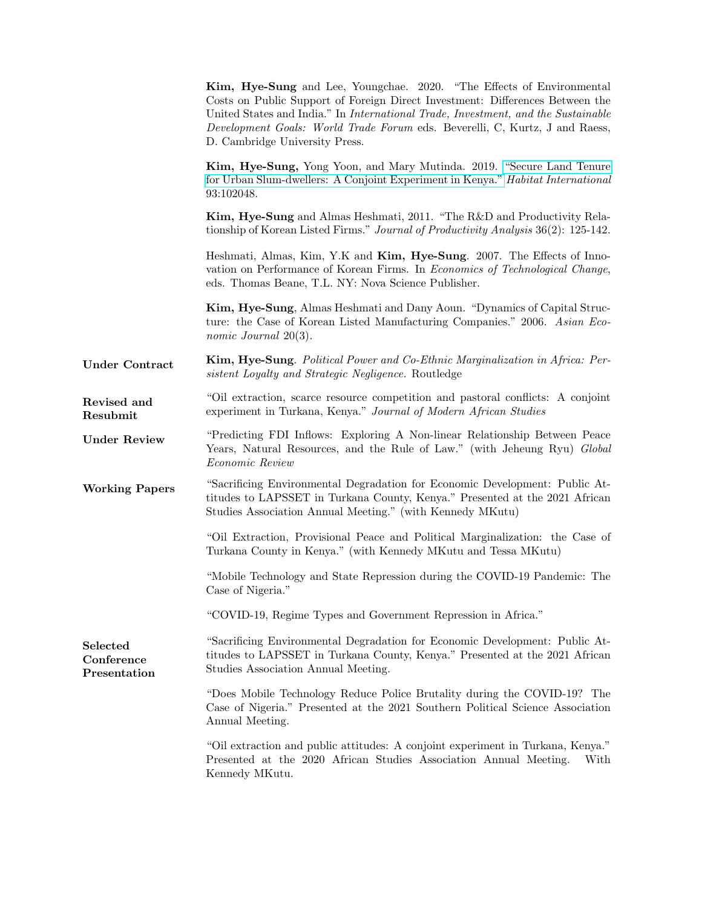|                                        | Kim, Hye-Sung and Lee, Youngchae. 2020. "The Effects of Environmental<br>Costs on Public Support of Foreign Direct Investment: Differences Between the<br>United States and India." In International Trade, Investment, and the Sustainable<br>Development Goals: World Trade Forum eds. Beverelli, C, Kurtz, J and Raess,<br>D. Cambridge University Press. |
|----------------------------------------|--------------------------------------------------------------------------------------------------------------------------------------------------------------------------------------------------------------------------------------------------------------------------------------------------------------------------------------------------------------|
|                                        | Kim, Hye-Sung, Yong Yoon, and Mary Mutinda. 2019. "Secure Land Tenure<br>for Urban Slum-dwellers: A Conjoint Experiment in Kenya." <i>Habitat International</i><br>93:102048.                                                                                                                                                                                |
|                                        | Kim, Hye-Sung and Almas Heshmati, 2011. "The R&D and Productivity Rela-<br>tionship of Korean Listed Firms." Journal of Productivity Analysis 36(2): 125-142.                                                                                                                                                                                                |
|                                        | Heshmati, Almas, Kim, Y.K and Kim, Hye-Sung. 2007. The Effects of Inno-<br>vation on Performance of Korean Firms. In <i>Economics of Technological Change</i> ,<br>eds. Thomas Beane, T.L. NY: Nova Science Publisher.                                                                                                                                       |
|                                        | Kim, Hye-Sung, Almas Heshmati and Dany Aoun. "Dynamics of Capital Struc-<br>ture: the Case of Korean Listed Manufacturing Companies." 2006. Asian Eco-<br><i>nomic Journal</i> $20(3)$ .                                                                                                                                                                     |
| <b>Under Contract</b>                  | Kim, Hye-Sung. Political Power and Co-Ethnic Marginalization in Africa: Per-<br>sistent Loyalty and Strategic Negligence. Routledge                                                                                                                                                                                                                          |
| Revised and<br>Resubmit                | "Oil extraction, scarce resource competition and pastoral conflicts: A conjoint<br>experiment in Turkana, Kenya." Journal of Modern African Studies                                                                                                                                                                                                          |
| <b>Under Review</b>                    | "Predicting FDI Inflows: Exploring A Non-linear Relationship Between Peace<br>Years, Natural Resources, and the Rule of Law." (with Jeheung Ryu) Global<br>Economic Review                                                                                                                                                                                   |
| <b>Working Papers</b>                  | "Sacrificing Environmental Degradation for Economic Development: Public At-<br>titudes to LAPSSET in Turkana County, Kenya." Presented at the 2021 African<br>Studies Association Annual Meeting." (with Kennedy MKutu)                                                                                                                                      |
|                                        | "Oil Extraction, Provisional Peace and Political Marginalization: the Case of<br>Turkana County in Kenya." (with Kennedy MKutu and Tessa MKutu)                                                                                                                                                                                                              |
|                                        | "Mobile Technology and State Repression during the COVID-19 Pandemic: The<br>Case of Nigeria."                                                                                                                                                                                                                                                               |
|                                        | "COVID-19, Regime Types and Government Repression in Africa."                                                                                                                                                                                                                                                                                                |
| Selected<br>Conference<br>Presentation | "Sacrificing Environmental Degradation for Economic Development: Public At-<br>titudes to LAPSSET in Turkana County, Kenya." Presented at the 2021 African<br>Studies Association Annual Meeting.                                                                                                                                                            |
|                                        | "Does Mobile Technology Reduce Police Brutality during the COVID-19? The<br>Case of Nigeria." Presented at the 2021 Southern Political Science Association<br>Annual Meeting.                                                                                                                                                                                |
|                                        | "Oil extraction and public attitudes: A conjoint experiment in Turkana, Kenya."<br>Presented at the 2020 African Studies Association Annual Meeting.<br>With<br>Kennedy MKutu.                                                                                                                                                                               |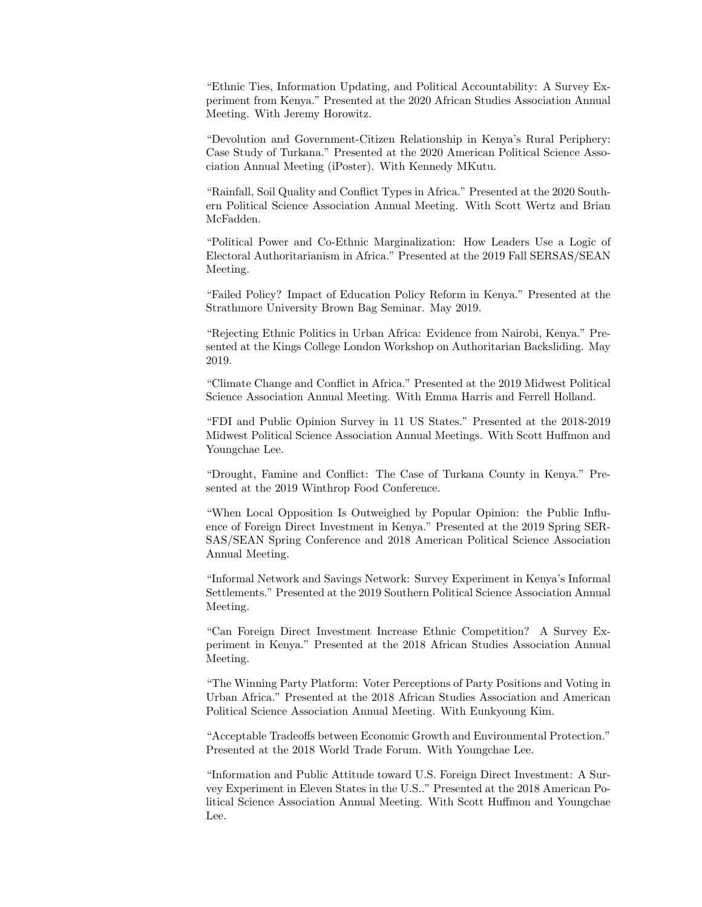"Ethnic Ties, Information Updating, and Political Accountability: A Survey Experiment from Kenya." Presented at the 2020 African Studies Association Annual Meeting. With Jeremy Horowitz.

"Devolution and Government-Citizen Relationship in Kenya's Rural Periphery: Case Study of Turkana." Presented at the 2020 American Political Science Association Annual Meeting (iPoster). With Kennedy MKutu.

"Rainfall, Soil Quality and Conflict Types in Africa." Presented at the 2020 Southern Political Science Association Annual Meeting. With Scott Wertz and Brian McFadden.

"Political Power and Co-Ethnic Marginalization: How Leaders Use a Logic of Electoral Authoritarianism in Africa." Presented at the 2019 Fall SERSAS/SEAN Meeting.

"Failed Policy? Impact of Education Policy Reform in Kenya." Presented at the Strathmore University Brown Bag Seminar. May 2019.

"Rejecting Ethnic Politics in Urban Africa: Evidence from Nairobi, Kenya." Presented at the Kings College London Workshop on Authoritarian Backsliding. May 2019.

"Climate Change and Conflict in Africa." Presented at the 2019 Midwest Political Science Association Annual Meeting. With Emma Harris and Ferrell Holland.

"FDI and Public Opinion Survey in 11 US States." Presented at the 2018-2019 Midwest Political Science Association Annual Meetings. With Scott Huffmon and Youngchae Lee.

"Drought, Famine and Conflict: The Case of Turkana County in Kenya." Presented at the 2019 Winthrop Food Conference.

"When Local Opposition Is Outweighed by Popular Opinion: the Public Influence of Foreign Direct Investment in Kenya." Presented at the 2019 Spring SER-SAS/SEAN Spring Conference and 2018 American Political Science Association Annual Meeting.

"Informal Network and Savings Network: Survey Experiment in Kenya's Informal Settlements." Presented at the 2019 Southern Political Science Association Annual Meeting.

"Can Foreign Direct Investment Increase Ethnic Competition? A Survey Experiment in Kenya." Presented at the 2018 African Studies Association Annual Meeting.

"The Winning Party Platform: Voter Perceptions of Party Positions and Voting in Urban Africa." Presented at the 2018 African Studies Association and American Political Science Association Annual Meeting. With Eunkyoung Kim.

"Acceptable Tradeoffs between Economic Growth and Environmental Protection." Presented at the 2018 World Trade Forum. With Youngchae Lee.

"Information and Public Attitude toward U.S. Foreign Direct Investment: A Survey Experiment in Eleven States in the U.S.." Presented at the 2018 American Political Science Association Annual Meeting. With Scott Huffmon and Youngchae Lee.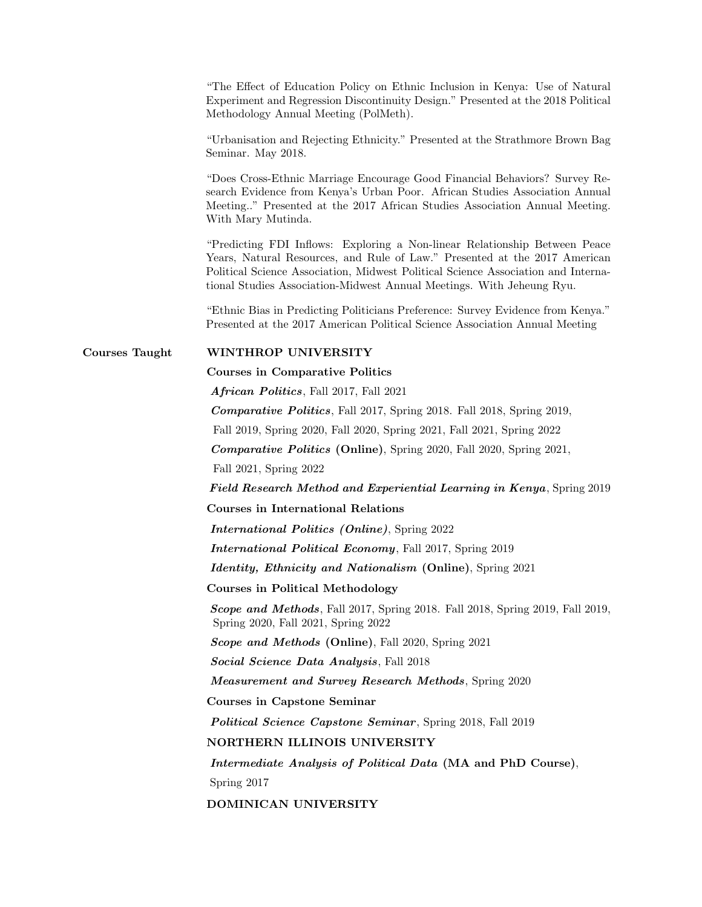"The Effect of Education Policy on Ethnic Inclusion in Kenya: Use of Natural Experiment and Regression Discontinuity Design." Presented at the 2018 Political Methodology Annual Meeting (PolMeth).

"Urbanisation and Rejecting Ethnicity." Presented at the Strathmore Brown Bag Seminar. May 2018.

"Does Cross-Ethnic Marriage Encourage Good Financial Behaviors? Survey Research Evidence from Kenya's Urban Poor. African Studies Association Annual Meeting.." Presented at the 2017 African Studies Association Annual Meeting. With Mary Mutinda.

"Predicting FDI Inflows: Exploring a Non-linear Relationship Between Peace Years, Natural Resources, and Rule of Law." Presented at the 2017 American Political Science Association, Midwest Political Science Association and International Studies Association-Midwest Annual Meetings. With Jeheung Ryu.

"Ethnic Bias in Predicting Politicians Preference: Survey Evidence from Kenya." Presented at the 2017 American Political Science Association Annual Meeting

## Courses Taught WINTHROP UNIVERSITY

Courses in Comparative Politics

African Politics, Fall 2017, Fall 2021

Comparative Politics, Fall 2017, Spring 2018. Fall 2018, Spring 2019,

Fall 2019, Spring 2020, Fall 2020, Spring 2021, Fall 2021, Spring 2022

Comparative Politics (Online), Spring 2020, Fall 2020, Spring 2021,

Fall 2021, Spring 2022

Field Research Method and Experiential Learning in Kenya, Spring 2019

Courses in International Relations

International Politics (Online), Spring 2022

International Political Economy, Fall 2017, Spring 2019

Identity, Ethnicity and Nationalism (Online), Spring 2021

Courses in Political Methodology

Scope and Methods, Fall 2017, Spring 2018. Fall 2018, Spring 2019, Fall 2019, Spring 2020, Fall 2021, Spring 2022

Scope and Methods (Online), Fall 2020, Spring 2021

Social Science Data Analysis, Fall 2018

Measurement and Survey Research Methods, Spring 2020

Courses in Capstone Seminar

**Political Science Capstone Seminar**, Spring 2018, Fall 2019

NORTHERN ILLINOIS UNIVERSITY

Intermediate Analysis of Political Data (MA and PhD Course), Spring 2017

DOMINICAN UNIVERSITY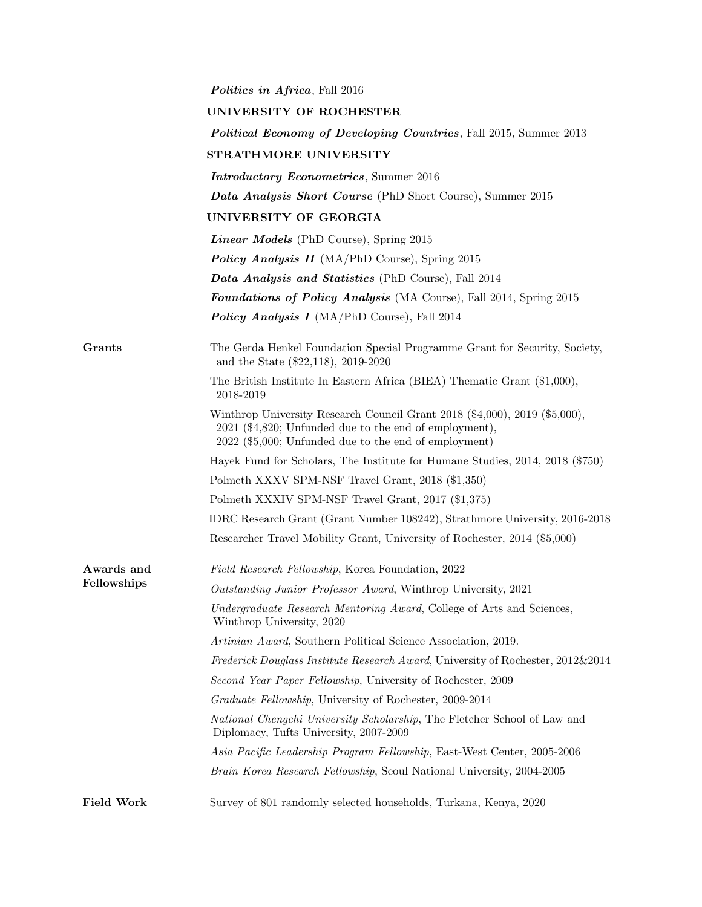|                   | <i>Politics in Africa</i> , Fall 2016                                                                                                                                                           |
|-------------------|-------------------------------------------------------------------------------------------------------------------------------------------------------------------------------------------------|
|                   | UNIVERSITY OF ROCHESTER                                                                                                                                                                         |
|                   | <b>Political Economy of Developing Countries, Fall 2015, Summer 2013</b>                                                                                                                        |
|                   | STRATHMORE UNIVERSITY                                                                                                                                                                           |
|                   | <b>Introductory Econometrics</b> , Summer 2016                                                                                                                                                  |
|                   | Data Analysis Short Course (PhD Short Course), Summer 2015                                                                                                                                      |
|                   | UNIVERSITY OF GEORGIA                                                                                                                                                                           |
|                   | <b>Linear Models</b> (PhD Course), Spring 2015                                                                                                                                                  |
|                   | <b>Policy Analysis II</b> (MA/PhD Course), Spring 2015                                                                                                                                          |
|                   | Data Analysis and Statistics (PhD Course), Fall 2014                                                                                                                                            |
|                   | <b>Foundations of Policy Analysis</b> (MA Course), Fall 2014, Spring 2015                                                                                                                       |
|                   | <b>Policy Analysis I</b> (MA/PhD Course), Fall 2014                                                                                                                                             |
| Grants            | The Gerda Henkel Foundation Special Programme Grant for Security, Society,<br>and the State $(\$22,118)$ , 2019-2020                                                                            |
|                   | The British Institute In Eastern Africa (BIEA) Thematic Grant (\$1,000),<br>2018-2019                                                                                                           |
|                   | Winthrop University Research Council Grant 2018 (\$4,000), 2019 (\$5,000),<br>$2021$ (\$4,820; Unfunded due to the end of employment),<br>2022 (\$5,000; Unfunded due to the end of employment) |
|                   | Hayek Fund for Scholars, The Institute for Humane Studies, 2014, 2018 (\$750)                                                                                                                   |
|                   | Polmeth XXXV SPM-NSF Travel Grant, 2018 (\$1,350)                                                                                                                                               |
|                   | Polmeth XXXIV SPM-NSF Travel Grant, 2017 (\$1,375)                                                                                                                                              |
|                   | IDRC Research Grant (Grant Number 108242), Strathmore University, 2016-2018                                                                                                                     |
|                   | Researcher Travel Mobility Grant, University of Rochester, 2014 (\$5,000)                                                                                                                       |
| Awards and        | Field Research Fellowship, Korea Foundation, 2022                                                                                                                                               |
| Fellowships       | Outstanding Junior Professor Award, Winthrop University, 2021                                                                                                                                   |
|                   | Undergraduate Research Mentoring Award, College of Arts and Sciences,<br>Winthrop University, 2020                                                                                              |
|                   | Artinian Award, Southern Political Science Association, 2019.                                                                                                                                   |
|                   | Frederick Douglass Institute Research Award, University of Rochester, 2012&2014                                                                                                                 |
|                   | Second Year Paper Fellowship, University of Rochester, 2009                                                                                                                                     |
|                   | Graduate Fellowship, University of Rochester, 2009-2014                                                                                                                                         |
|                   | National Chengchi University Scholarship, The Fletcher School of Law and<br>Diplomacy, Tufts University, 2007-2009                                                                              |
|                   | Asia Pacific Leadership Program Fellowship, East-West Center, 2005-2006                                                                                                                         |
|                   | Brain Korea Research Fellowship, Seoul National University, 2004-2005                                                                                                                           |
| <b>Field Work</b> | Survey of 801 randomly selected households, Turkana, Kenya, 2020                                                                                                                                |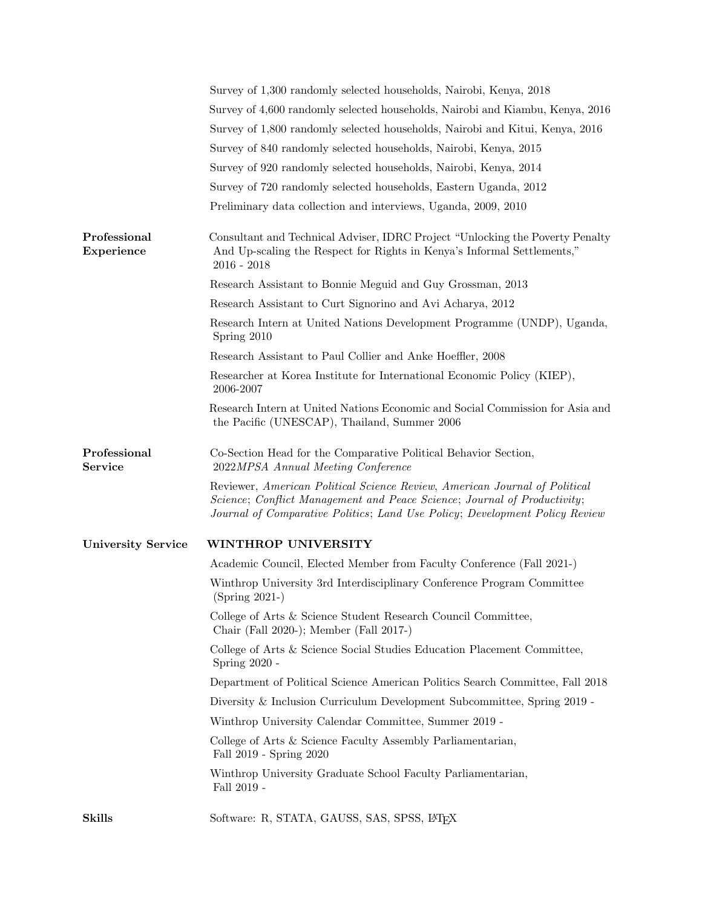|                                | Survey of 1,300 randomly selected households, Nairobi, Kenya, 2018                                                                                                                                                                    |
|--------------------------------|---------------------------------------------------------------------------------------------------------------------------------------------------------------------------------------------------------------------------------------|
|                                | Survey of 4,600 randomly selected households, Nairobi and Kiambu, Kenya, 2016                                                                                                                                                         |
|                                | Survey of 1,800 randomly selected households, Nairobi and Kitui, Kenya, 2016                                                                                                                                                          |
|                                | Survey of 840 randomly selected households, Nairobi, Kenya, 2015                                                                                                                                                                      |
|                                | Survey of 920 randomly selected households, Nairobi, Kenya, 2014                                                                                                                                                                      |
|                                | Survey of 720 randomly selected households, Eastern Uganda, 2012                                                                                                                                                                      |
|                                | Preliminary data collection and interviews, Uganda, 2009, 2010                                                                                                                                                                        |
| Professional<br>Experience     | Consultant and Technical Adviser, IDRC Project "Unlocking the Poverty Penalty<br>And Up-scaling the Respect for Rights in Kenya's Informal Settlements,"<br>$2016 - 2018$                                                             |
|                                | Research Assistant to Bonnie Meguid and Guy Grossman, 2013                                                                                                                                                                            |
|                                | Research Assistant to Curt Signorino and Avi Acharya, 2012                                                                                                                                                                            |
|                                | Research Intern at United Nations Development Programme (UNDP), Uganda,<br>Spring 2010                                                                                                                                                |
|                                | Research Assistant to Paul Collier and Anke Hoeffler, 2008                                                                                                                                                                            |
|                                | Researcher at Korea Institute for International Economic Policy (KIEP),<br>2006-2007                                                                                                                                                  |
|                                | Research Intern at United Nations Economic and Social Commission for Asia and<br>the Pacific (UNESCAP), Thailand, Summer 2006                                                                                                         |
| Professional<br><b>Service</b> | Co-Section Head for the Comparative Political Behavior Section,<br>2022MPSA Annual Meeting Conference                                                                                                                                 |
|                                | Reviewer, American Political Science Review, American Journal of Political<br>Science; Conflict Management and Peace Science; Journal of Productivity;<br>Journal of Comparative Politics; Land Use Policy; Development Policy Review |
| <b>University Service</b>      | WINTHROP UNIVERSITY                                                                                                                                                                                                                   |
|                                | Academic Council, Elected Member from Faculty Conference (Fall 2021-)                                                                                                                                                                 |
|                                | Winthrop University 3rd Interdisciplinary Conference Program Committee<br>$(Spring 2021-)$                                                                                                                                            |
|                                | College of Arts & Science Student Research Council Committee,<br>Chair (Fall 2020-); Member (Fall 2017-)                                                                                                                              |
|                                | College of Arts & Science Social Studies Education Placement Committee,<br>Spring 2020 -                                                                                                                                              |
|                                | Department of Political Science American Politics Search Committee, Fall 2018                                                                                                                                                         |
|                                | Diversity & Inclusion Curriculum Development Subcommittee, Spring 2019 -                                                                                                                                                              |
|                                | Winthrop University Calendar Committee, Summer 2019 -                                                                                                                                                                                 |
|                                | College of Arts & Science Faculty Assembly Parliamentarian,<br>Fall 2019 - Spring 2020                                                                                                                                                |
|                                | Winthrop University Graduate School Faculty Parliamentarian,<br>Fall 2019 -                                                                                                                                                           |
| <b>Skills</b>                  | Software: R, STATA, GAUSS, SAS, SPSS, LAT <sub>E</sub> X                                                                                                                                                                              |